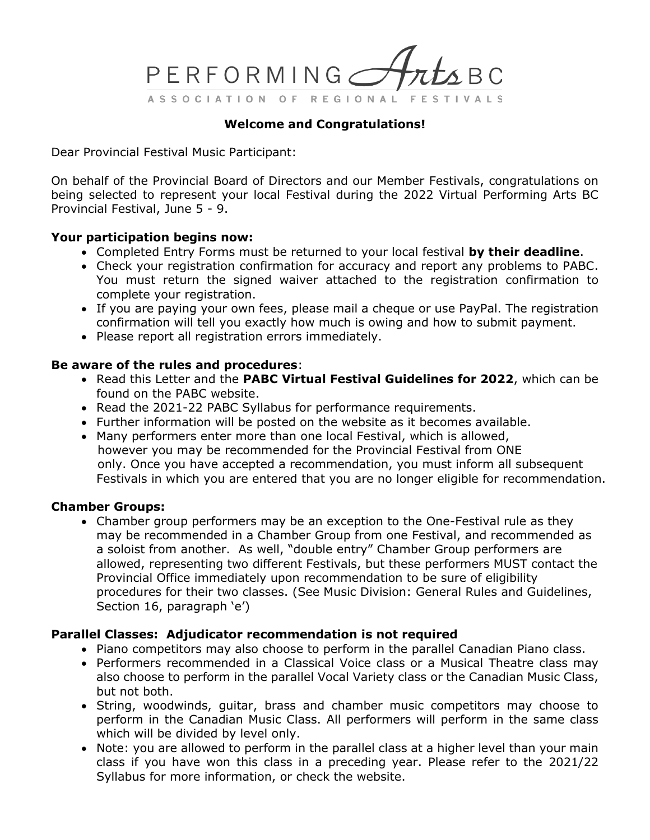

### **Welcome and Congratulations!**

Dear Provincial Festival Music Participant:

On behalf of the Provincial Board of Directors and our Member Festivals, congratulations on being selected to represent your local Festival during the 2022 Virtual Performing Arts BC Provincial Festival, June 5 - 9.

### **Your participation begins now:**

- Completed Entry Forms must be returned to your local festival **by their deadline**.
- Check your registration confirmation for accuracy and report any problems to PABC. You must return the signed waiver attached to the registration confirmation to complete your registration.
- If you are paying your own fees, please mail a cheque or use PayPal. The registration confirmation will tell you exactly how much is owing and how to submit payment.
- Please report all registration errors immediately.

### **Be aware of the rules and procedures**:

- Read this Letter and the **PABC Virtual Festival Guidelines for 2022**, which can be found on the PABC website.
- Read the 2021-22 PABC Syllabus for performance requirements.
- Further information will be posted on the website as it becomes available.
- Many performers enter more than one local Festival, which is allowed, however you may be recommended for the Provincial Festival from ONE only. Once you have accepted a recommendation, you must inform all subsequent Festivals in which you are entered that you are no longer eligible for recommendation.

#### **Chamber Groups:**

• Chamber group performers may be an exception to the One-Festival rule as they may be recommended in a Chamber Group from one Festival, and recommended as a soloist from another. As well, "double entry" Chamber Group performers are allowed, representing two different Festivals, but these performers MUST contact the Provincial Office immediately upon recommendation to be sure of eligibility procedures for their two classes. (See Music Division: General Rules and Guidelines, Section 16, paragraph 'e')

## **Parallel Classes: Adjudicator recommendation is not required**

- Piano competitors may also choose to perform in the parallel Canadian Piano class.
- Performers recommended in a Classical Voice class or a Musical Theatre class may also choose to perform in the parallel Vocal Variety class or the Canadian Music Class, but not both.
- String, woodwinds, guitar, brass and chamber music competitors may choose to perform in the Canadian Music Class. All performers will perform in the same class which will be divided by level only.
- Note: you are allowed to perform in the parallel class at a higher level than your main class if you have won this class in a preceding year. Please refer to the 2021/22 Syllabus for more information, or check the website.